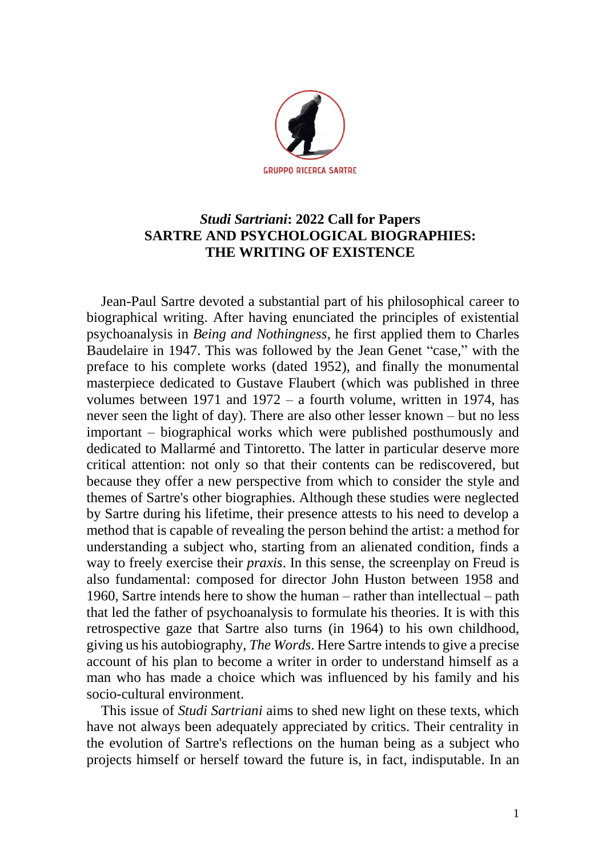

## *Studi Sartriani***: 2022 Call for Papers SARTRE AND PSYCHOLOGICAL BIOGRAPHIES: THE WRITING OF EXISTENCE**

Jean-Paul Sartre devoted a substantial part of his philosophical career to biographical writing. After having enunciated the principles of existential psychoanalysis in *Being and Nothingness*, he first applied them to Charles Baudelaire in 1947. This was followed by the Jean Genet "case," with the preface to his complete works (dated 1952), and finally the monumental masterpiece dedicated to Gustave Flaubert (which was published in three volumes between 1971 and  $1972 - a$  fourth volume, written in 1974, has never seen the light of day). There are also other lesser known – but no less important – biographical works which were published posthumously and dedicated to Mallarmé and Tintoretto. The latter in particular deserve more critical attention: not only so that their contents can be rediscovered, but because they offer a new perspective from which to consider the style and themes of Sartre's other biographies. Although these studies were neglected by Sartre during his lifetime, their presence attests to his need to develop a method that is capable of revealing the person behind the artist: a method for understanding a subject who, starting from an alienated condition, finds a way to freely exercise their *praxis*. In this sense, the screenplay on Freud is also fundamental: composed for director John Huston between 1958 and 1960, Sartre intends here to show the human – rather than intellectual – path that led the father of psychoanalysis to formulate his theories. It is with this retrospective gaze that Sartre also turns (in 1964) to his own childhood, giving us his autobiography, *The Words*. Here Sartre intends to give a precise account of his plan to become a writer in order to understand himself as a man who has made a choice which was influenced by his family and his socio-cultural environment.

This issue of *Studi Sartriani* aims to shed new light on these texts, which have not always been adequately appreciated by critics. Their centrality in the evolution of Sartre's reflections on the human being as a subject who projects himself or herself toward the future is, in fact, indisputable. In an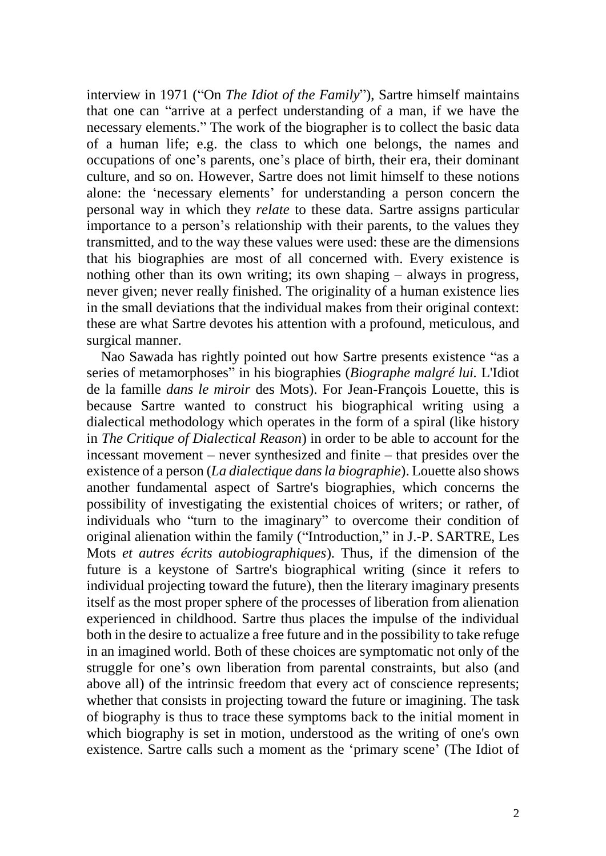interview in 1971 ("On *The Idiot of the Family*"), Sartre himself maintains that one can "arrive at a perfect understanding of a man, if we have the necessary elements." The work of the biographer is to collect the basic data of a human life; e.g. the class to which one belongs, the names and occupations of one's parents, one's place of birth, their era, their dominant culture, and so on. However, Sartre does not limit himself to these notions alone: the 'necessary elements' for understanding a person concern the personal way in which they *relate* to these data. Sartre assigns particular importance to a person's relationship with their parents, to the values they transmitted, and to the way these values were used: these are the dimensions that his biographies are most of all concerned with. Every existence is nothing other than its own writing; its own shaping – always in progress, never given; never really finished. The originality of a human existence lies in the small deviations that the individual makes from their original context: these are what Sartre devotes his attention with a profound, meticulous, and surgical manner.

Nao Sawada has rightly pointed out how Sartre presents existence "as a series of metamorphoses" in his biographies (*Biographe malgré lui.* L'Idiot de la famille *dans le miroir* des Mots). For Jean-François Louette, this is because Sartre wanted to construct his biographical writing using a dialectical methodology which operates in the form of a spiral (like history in *The Critique of Dialectical Reason*) in order to be able to account for the incessant movement – never synthesized and finite – that presides over the existence of a person (*La dialectique dans la biographie*). Louette also shows another fundamental aspect of Sartre's biographies, which concerns the possibility of investigating the existential choices of writers; or rather, of individuals who "turn to the imaginary" to overcome their condition of original alienation within the family ("Introduction," in J.-P. SARTRE, Les Mots *et autres écrits autobiographiques*). Thus, if the dimension of the future is a keystone of Sartre's biographical writing (since it refers to individual projecting toward the future), then the literary imaginary presents itself as the most proper sphere of the processes of liberation from alienation experienced in childhood. Sartre thus places the impulse of the individual both in the desire to actualize a free future and in the possibility to take refuge in an imagined world. Both of these choices are symptomatic not only of the struggle for one's own liberation from parental constraints, but also (and above all) of the intrinsic freedom that every act of conscience represents; whether that consists in projecting toward the future or imagining. The task of biography is thus to trace these symptoms back to the initial moment in which biography is set in motion, understood as the writing of one's own existence. Sartre calls such a moment as the 'primary scene' (The Idiot of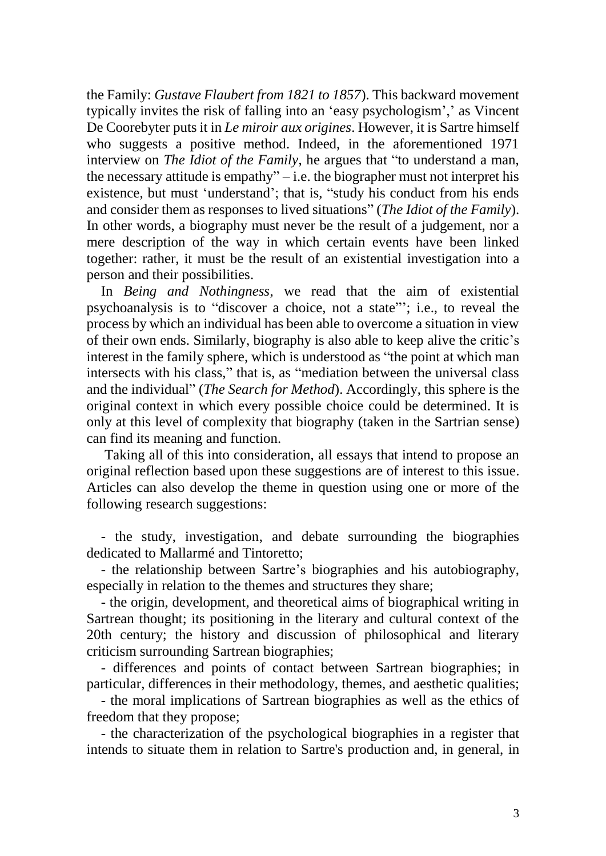the Family: *Gustave Flaubert from 1821 to 1857*). This backward movement typically invites the risk of falling into an 'easy psychologism',' as Vincent De Coorebyter puts it in *Le miroir aux origines*. However, it is Sartre himself who suggests a positive method. Indeed, in the aforementioned 1971 interview on *The Idiot of the Family*, he argues that "to understand a man, the necessary attitude is empathy" $-i.e.$  the biographer must not interpret his existence, but must 'understand'; that is, "study his conduct from his ends and consider them as responses to lived situations" (*The Idiot of the Family*). In other words, a biography must never be the result of a judgement, nor a mere description of the way in which certain events have been linked together: rather, it must be the result of an existential investigation into a person and their possibilities.

In *Being and Nothingness*, we read that the aim of existential psychoanalysis is to "discover a choice, not a state"'; i.e., to reveal the process by which an individual has been able to overcome a situation in view of their own ends. Similarly, biography is also able to keep alive the critic's interest in the family sphere, which is understood as "the point at which man intersects with his class," that is, as "mediation between the universal class and the individual" (*The Search for Method*). Accordingly, this sphere is the original context in which every possible choice could be determined. It is only at this level of complexity that biography (taken in the Sartrian sense) can find its meaning and function.

Taking all of this into consideration, all essays that intend to propose an original reflection based upon these suggestions are of interest to this issue. Articles can also develop the theme in question using one or more of the following research suggestions:

- the study, investigation, and debate surrounding the biographies dedicated to Mallarmé and Tintoretto;

- the relationship between Sartre's biographies and his autobiography, especially in relation to the themes and structures they share;

- the origin, development, and theoretical aims of biographical writing in Sartrean thought; its positioning in the literary and cultural context of the 20th century; the history and discussion of philosophical and literary criticism surrounding Sartrean biographies;

- differences and points of contact between Sartrean biographies; in particular, differences in their methodology, themes, and aesthetic qualities;

- the moral implications of Sartrean biographies as well as the ethics of freedom that they propose;

- the characterization of the psychological biographies in a register that intends to situate them in relation to Sartre's production and, in general, in